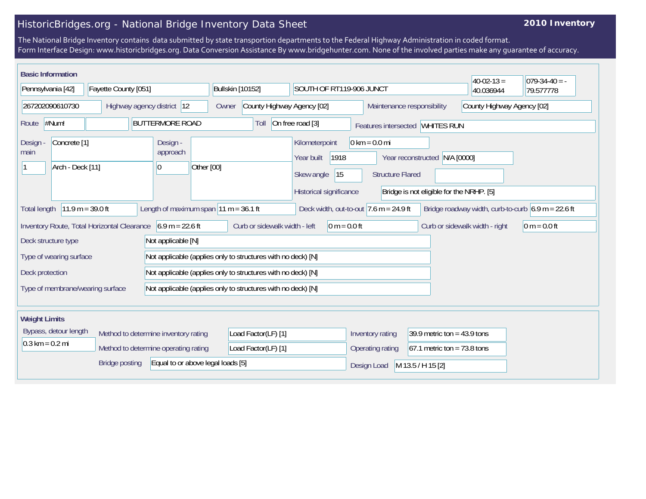## HistoricBridges.org - National Bridge Inventory Data Sheet

## **2010 Inventory**

The National Bridge Inventory contains data submitted by state transportion departments to the Federal Highway Administration in coded format. Form Interface Design: www.historicbridges.org. Data Conversion Assistance By www.bridgehunter.com. None of the involved parties make any guarantee of accuracy.

| <b>Basic Information</b>                                                                                                                                                                                 |  |                                                              |                                                                                     |                                                            |                                                                              |                               | $40-02-13=$ | $ 079-34-40=$ |
|----------------------------------------------------------------------------------------------------------------------------------------------------------------------------------------------------------|--|--------------------------------------------------------------|-------------------------------------------------------------------------------------|------------------------------------------------------------|------------------------------------------------------------------------------|-------------------------------|-------------|---------------|
| Fayette County [051]<br>Pennsylvania [42]                                                                                                                                                                |  | Bullskin [10152]<br>SOUTH OF RT119-906 JUNCT                 |                                                                                     |                                                            |                                                                              | 40.036944                     | 79.577778   |               |
| 267202090610730<br>Highway agency district 12                                                                                                                                                            |  | County Highway Agency [02]<br>Owner                          |                                                                                     | Maintenance responsibility                                 |                                                                              | County Highway Agency [02]    |             |               |
| $\#Num!$<br><b>BUTTERMORE ROAD</b><br>Route                                                                                                                                                              |  |                                                              | Toll                                                                                | On free road [3]                                           | Features intersected WHITES RUN                                              |                               |             |               |
| Concrete <sup>[1]</sup><br>Design -<br>Design<br>approach<br>main<br>Arch - Deck [11]<br>$\vert 0 \vert$                                                                                                 |  | Other [00]                                                   | Kilometerpoint<br>1918<br>Year built<br>15<br>Skew angle<br>Historical significance | $0 \text{ km} = 0.0 \text{ mi}$<br><b>Structure Flared</b> | N/A [0000]<br>Year reconstructed<br>Bridge is not eligible for the NRHP. [5] |                               |             |               |
| Length of maximum span $11 m = 36.1 ft$<br>$11.9 m = 39.0 ft$<br>Deck width, out-to-out $7.6$ m = 24.9 ft<br>Bridge roadway width, curb-to-curb $6.9 \text{ m} = 22.6 \text{ ft}$<br><b>Total length</b> |  |                                                              |                                                                                     |                                                            |                                                                              |                               |             |               |
| Inventory Route, Total Horizontal Clearance 6.9 m = 22.6 ft<br>Curb or sidewalk width - left<br>$0 m = 0.0 ft$<br>$0 m = 0.0 ft$<br>Curb or sidewalk width - right                                       |  |                                                              |                                                                                     |                                                            |                                                                              |                               |             |               |
| Deck structure type<br>Not applicable [N]                                                                                                                                                                |  |                                                              |                                                                                     |                                                            |                                                                              |                               |             |               |
| Type of wearing surface                                                                                                                                                                                  |  | Not applicable (applies only to structures with no deck) [N] |                                                                                     |                                                            |                                                                              |                               |             |               |
| Deck protection                                                                                                                                                                                          |  | Not applicable (applies only to structures with no deck) [N] |                                                                                     |                                                            |                                                                              |                               |             |               |
| Type of membrane/wearing surface                                                                                                                                                                         |  | Not applicable (applies only to structures with no deck) [N] |                                                                                     |                                                            |                                                                              |                               |             |               |
| <b>Weight Limits</b>                                                                                                                                                                                     |  |                                                              |                                                                                     |                                                            |                                                                              |                               |             |               |
| Bypass, detour length                                                                                                                                                                                    |  | Method to determine inventory rating                         | Load Factor(LF) [1]                                                                 |                                                            | Inventory rating                                                             | 39.9 metric ton = $43.9$ tons |             |               |
| $0.3 \text{ km} = 0.2 \text{ mi}$<br>Method to determine operating rating                                                                                                                                |  | Load Factor(LF) [1]                                          |                                                                                     | Operating rating                                           | $67.1$ metric ton = 73.8 tons                                                |                               |             |               |
| Equal to or above legal loads [5]<br><b>Bridge posting</b>                                                                                                                                               |  |                                                              |                                                                                     |                                                            | Design Load                                                                  | M 13.5 / H 15 [2]             |             |               |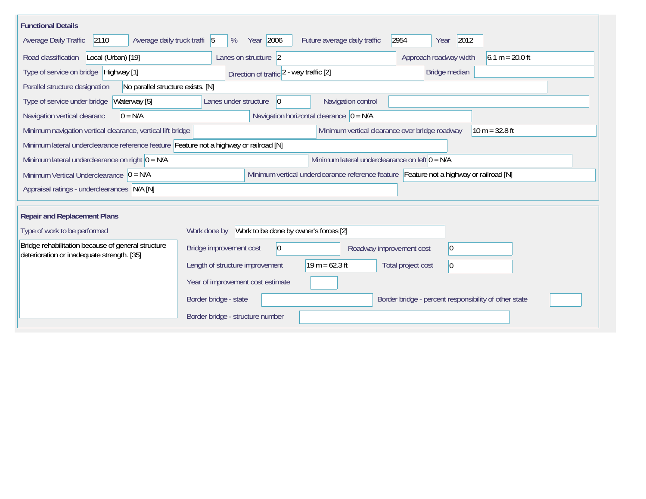| <b>Functional Details</b>                                                                                                             |                                                       |                                                |                                                       |  |  |  |
|---------------------------------------------------------------------------------------------------------------------------------------|-------------------------------------------------------|------------------------------------------------|-------------------------------------------------------|--|--|--|
| Average daily truck traffi 5<br>Average Daily Traffic<br>2110                                                                         | Year 2006<br>%                                        | Future average daily traffic                   | 2012<br>2954<br>Year                                  |  |  |  |
| Road classification<br>Local (Urban) [19]                                                                                             | Lanes on structure 2                                  |                                                | $6.1 m = 20.0 ft$<br>Approach roadway width           |  |  |  |
| Type of service on bridge Highway [1]                                                                                                 | Direction of traffic 2 - way traffic [2]              |                                                | Bridge median                                         |  |  |  |
| No parallel structure exists. [N]<br>Parallel structure designation                                                                   |                                                       |                                                |                                                       |  |  |  |
| Waterway [5]<br>Type of service under bridge                                                                                          | Lanes under structure<br>$\overline{0}$               | Navigation control                             |                                                       |  |  |  |
| $0 = N/A$<br>Navigation vertical clearanc                                                                                             |                                                       | Navigation horizontal clearance $ 0 = N/A$     |                                                       |  |  |  |
| Minimum navigation vertical clearance, vertical lift bridge                                                                           |                                                       | Minimum vertical clearance over bridge roadway | $10 m = 32.8 ft$                                      |  |  |  |
| Minimum lateral underclearance reference feature Feature not a highway or railroad [N]                                                |                                                       |                                                |                                                       |  |  |  |
| Minimum lateral underclearance on left $0 = N/A$<br>Minimum lateral underclearance on right $0 = N/A$                                 |                                                       |                                                |                                                       |  |  |  |
| Minimum vertical underclearance reference feature Feature not a highway or railroad [N]<br>Minimum Vertical Underclearance $ 0 = N/A$ |                                                       |                                                |                                                       |  |  |  |
| Appraisal ratings - underclearances N/A [N]                                                                                           |                                                       |                                                |                                                       |  |  |  |
|                                                                                                                                       |                                                       |                                                |                                                       |  |  |  |
| <b>Repair and Replacement Plans</b>                                                                                                   |                                                       |                                                |                                                       |  |  |  |
| Type of work to be performed                                                                                                          | Work to be done by owner's forces [2]<br>Work done by |                                                |                                                       |  |  |  |
| Bridge rehabilitation because of general structure<br>deterioration or inadequate strength. [35]                                      | Bridge improvement cost<br>$ 0\rangle$                | Roadway improvement cost                       | 0                                                     |  |  |  |
|                                                                                                                                       | Length of structure improvement                       | $19 m = 62.3 ft$                               | Total project cost<br>$ 0\rangle$                     |  |  |  |
|                                                                                                                                       | Year of improvement cost estimate                     |                                                |                                                       |  |  |  |
|                                                                                                                                       | Border bridge - state                                 |                                                | Border bridge - percent responsibility of other state |  |  |  |
|                                                                                                                                       | Border bridge - structure number                      |                                                |                                                       |  |  |  |